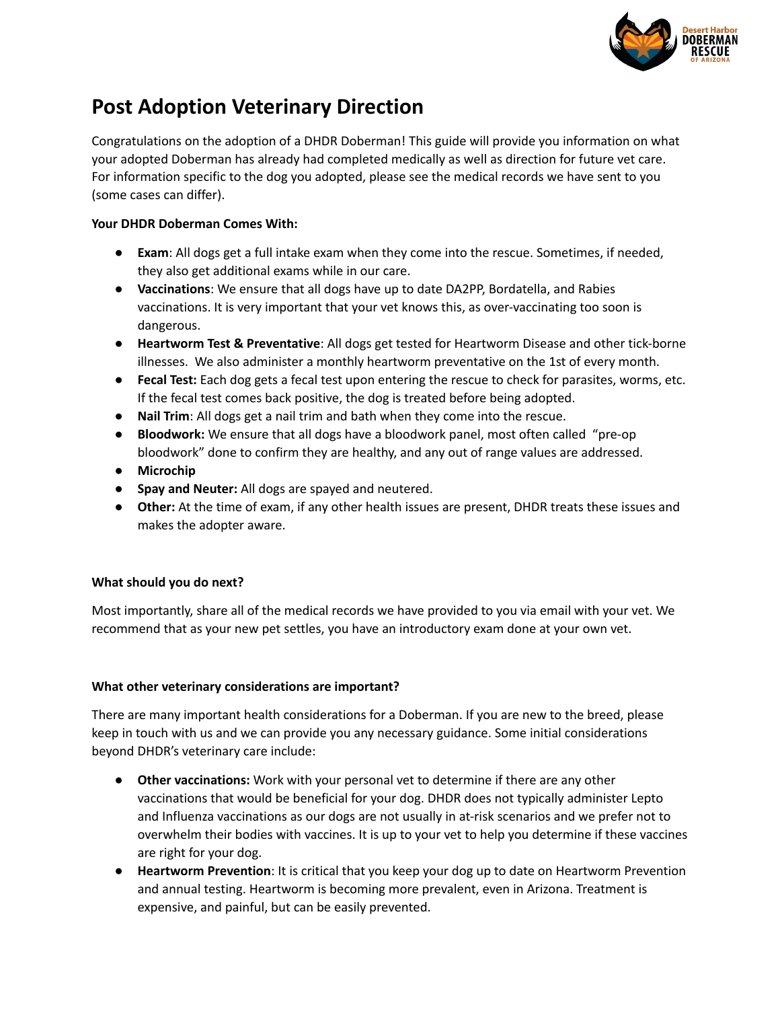

## **Post Adoption Veterinary Direction**

Congratulations on the adoption of a DHDR Doberman! This guide will provide you information on what your adopted Doberman has already had completed medically as well as direction for future vet care. For information specific to the dog you adopted, please see the medical records we have sent to you (some cases can differ).

## **Your DHDR Doberman Comes With:**

- **Exam**: All dogs get a full intake exam when they come into the rescue. Sometimes, if needed, they also get additional exams while in our care.
- **Vaccinations**: We ensure that all dogs have up to date DA2PP, Bordatella, and Rabies vaccinations. It is very important that your vet knows this, as over-vaccinating too soon is dangerous.
- **Heartworm Test & Preventative**: All dogs get tested for Heartworm Disease and other tick-borne illnesses. We also administer a monthly heartworm preventative on the 1st of every month.
- **Fecal Test:** Each dog gets a fecal test upon entering the rescue to check for parasites, worms, etc. If the fecal test comes back positive, the dog is treated before being adopted.
- **Nail Trim**: All dogs get a nail trim and bath when they come into the rescue.
- **Bloodwork:** We ensure that all dogs have a bloodwork panel, most often called "pre-op bloodwork" done to confirm they are healthy, and any out of range values are addressed.
- **● Microchip**
- **● Spay and Neuter:** All dogs are spayed and neutered.
- **● Other:** At the time of exam, if any other health issues are present, DHDR treats these issues and makes the adopter aware.

## **What should you do next?**

Most importantly, share all of the medical records we have provided to you via email with your vet. We recommend that as your new pet settles, you have an introductory exam done at your own vet.

## **What other veterinary considerations are important?**

There are many important health considerations for a Doberman. If you are new to the breed, please keep in touch with us and we can provide you any necessary guidance. Some initial considerations beyond DHDR's veterinary care include:

- **● Other vaccinations:** Work with your personal vet to determine if there are any other vaccinations that would be beneficial for your dog. DHDR does not typically administer Lepto and Influenza vaccinations as our dogs are not usually in at-risk scenarios and we prefer not to overwhelm their bodies with vaccines. It is up to your vet to help you determine if these vaccines are right for your dog.
- **Heartworm Prevention**: It is critical that you keep your dog up to date on Heartworm Prevention and annual testing. Heartworm is becoming more prevalent, even in Arizona. Treatment is expensive, and painful, but can be easily prevented.